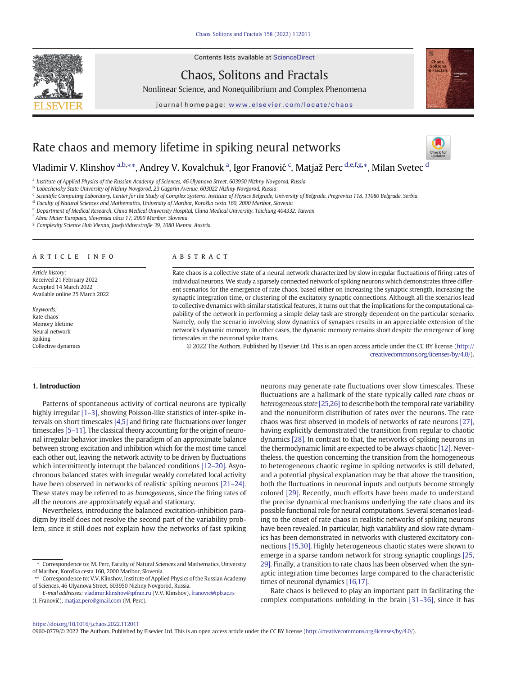Contents lists available at ScienceDirect



Chaos, Solitons and Fractals

Nonlinear Science, and Nonequilibrium and Complex Phenomena



journal homepage: <www.elsevier.com/locate/chaos>

# Rate chaos and memory lifetime in spiking neural networks

## Vladimir V. Klinshov <sup>a,b,</sup>\*\*, Andrey V. Kovalchuk <sup>a</sup>, Igor Franović <sup>c</sup>, Matjaž Perc <sup>d,e,f,g,</sup>\*, Milan Svetec <sup>d</sup>

a Institute of Applied Physics of the Russian Academy of Sciences, 46 Ulyanova Street, 603950 Nizhny Novgorod, Russia

<sup>c</sup> Scientific Computing Laboratory, Center for the Study of Complex Systems, Institute of Physics Belgrade, University of Belgrade, Pregrevica 118, 11080 Belgrade, Serbia

<sup>d</sup> Faculty of Natural Sciences and Mathematics, University of Maribor, Koroška cesta 160, 2000 Maribor, Slovenia

<sup>e</sup> Department of Medical Research, China Medical University Hospital, China Medical University, Taichung 404332, Taiwan

<sup>f</sup> Alma Mater Europaea, Slovenska ulica 17, 2000 Maribor, Slovenia

<sup>g</sup> Complexity Science Hub Vienna, Josefstädterstraße 39, 1080 Vienna, Austria

#### article info abstract

Article history: Received 21 February 2022 Accepted 14 March 2022 Available online 25 March 2022

Keywords: Rate chaos Memory lifetime Neural network Spiking Collective dynamics

Rate chaos is a collective state of a neural network characterized by slow irregular fluctuations of firing rates of individual neurons. We study a sparsely connected network of spiking neurons which demonstrates three different scenarios for the emergence of rate chaos, based either on increasing the synaptic strength, increasing the synaptic integration time, or clustering of the excitatory synaptic connections. Although all the scenarios lead to collective dynamics with similar statistical features, it turns out that the implications for the computational capability of the network in performing a simple delay task are strongly dependent on the particular scenario. Namely, only the scenario involving slow dynamics of synapses results in an appreciable extension of the network's dynamic memory. In other cases, the dynamic memory remains short despite the emergence of long timescales in the neuronal spike trains.

© 2022 The Authors. Published by Elsevier Ltd. This is an open access article under the CC BY license ([http://](http://creativecommons.org/licenses/by/4.0/) [creativecommons.org/licenses/by/4.0/\)](http://creativecommons.org/licenses/by/4.0/).

#### 1. Introduction

Patterns of spontaneous activity of cortical neurons are typically highly irregular [1–[3\],](#page-5-0) showing Poisson-like statistics of inter-spike intervals on short timescales [\[4,5\]](#page-5-0) and firing rate fluctuations over longer timescales [5–[11\].](#page-5-0) The classical theory accounting for the origin of neuronal irregular behavior invokes the paradigm of an approximate balance between strong excitation and inhibition which for the most time cancel each other out, leaving the network activity to be driven by fluctuations which intermittently interrupt the balanced conditions [\[12](#page-5-0)–20]. Asynchronous balanced states with irregular weakly correlated local activity have been observed in networks of realistic spiking neurons [\[21](#page-5-0)–24]. These states may be referred to as homogeneous, since the firing rates of all the neurons are approximately equal and stationary.

Nevertheless, introducing the balanced excitation-inhibition paradigm by itself does not resolve the second part of the variability problem, since it still does not explain how the networks of fast spiking

\*\* Correspondence to: V.V. Klinshov, Institute of Applied Physics of the Russian Academy of Sciences, 46 Ulyanova Street, 603950 Nizhny Novgorod, Russia.

neurons may generate rate fluctuations over slow timescales. These fluctuations are a hallmark of the state typically called rate chaos or heterogeneous state [\[25,26\]](#page-5-0) to describe both the temporal rate variability and the nonuniform distribution of rates over the neurons. The rate chaos was first observed in models of networks of rate neurons [\[27\]](#page-5-0), having explicitly demonstrated the transition from regular to chaotic dynamics [\[28\]](#page-5-0). In contrast to that, the networks of spiking neurons in the thermodynamic limit are expected to be always chaotic [\[12\]](#page-5-0). Nevertheless, the question concerning the transition from the homogeneous to heterogeneous chaotic regime in spiking networks is still debated, and a potential physical explanation may be that above the transition, both the fluctuations in neuronal inputs and outputs become strongly colored [\[29\]](#page-5-0). Recently, much efforts have been made to understand the precise dynamical mechanisms underlying the rate chaos and its possible functional role for neural computations. Several scenarios leading to the onset of rate chaos in realistic networks of spiking neurons have been revealed. In particular, high variability and slow rate dynamics has been demonstrated in networks with clustered excitatory connections [\[15,30\].](#page-5-0) Highly heterogeneous chaotic states were shown to emerge in a sparse random network for strong synaptic couplings [\[25,](#page-5-0) [29\].](#page-5-0) Finally, a transition to rate chaos has been observed when the synaptic integration time becomes large compared to the characteristic times of neuronal dynamics [\[16,17\].](#page-5-0)

Rate chaos is believed to play an important part in facilitating the complex computations unfolding in the brain [\[31](#page-5-0)–36], since it has

0960-0779/© 2022 The Authors. Published by Elsevier Ltd. This is an open access article under the CC BY license [\(http://creativecommons.org/licenses/by/4.0/\)](http://creativecommons.org/licenses/by/4.0/).

<sup>b</sup> Lobachevsky State University of Nizhny Novgorod, 23 Gagarin Avenue, 603022 Nizhny Novgorod, Russia

<sup>⁎</sup> Correspondence to: M. Perc, Faculty of Natural Sciences and Mathematics, University of Maribor, Koroška cesta 160, 2000 Maribor, Slovenia.

E-mail addresses: [vladimir.klinshov@ipfran.ru](mailto:vladimir.klinshov@ipfran.ru) (V.V. Klinshov), [franovic@ipb.ac.rs](mailto:franovic@ipb.ac.rs) (I. Franović), [matjaz.perc@gmail.com](mailto:matjaz.perc@gmail.com) (M. Perc).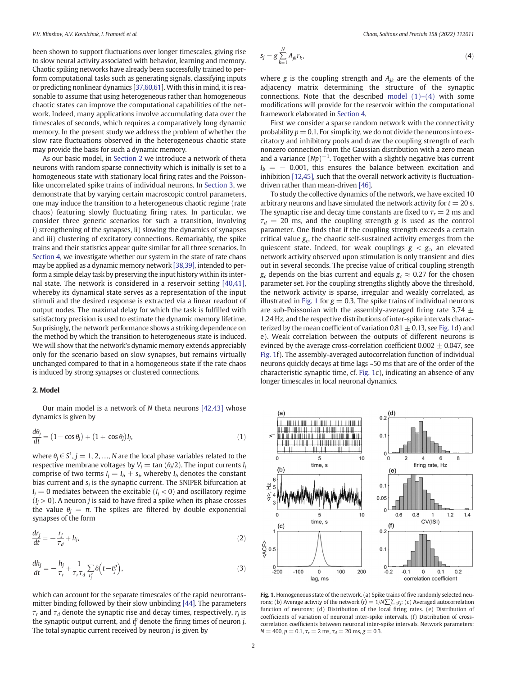<span id="page-1-0"></span>been shown to support fluctuations over longer timescales, giving rise to slow neural activity associated with behavior, learning and memory. Chaotic spiking networks have already been successfully trained to perform computational tasks such as generating signals, classifying inputs or predicting nonlinear dynamics [\[37](#page-5-0)[,60,61](#page-6-0)]. With this in mind, it is reasonable to assume that using heterogeneous rather than homogeneous chaotic states can improve the computational capabilities of the network. Indeed, many applications involve accumulating data over the timescales of seconds, which requires a comparatively long dynamic memory. In the present study we address the problem of whether the slow rate fluctuations observed in the heterogeneous chaotic state may provide the basis for such a dynamic memory.

As our basic model, in Section 2 we introduce a network of theta neurons with random sparse connectivity which is initially is set to a homogeneous state with stationary local firing rates and the Poissonlike uncorrelated spike trains of individual neurons. In [Section 3,](#page-2-0) we demonstrate that by varying certain macroscopic control parameters, one may induce the transition to a heterogeneous chaotic regime (rate chaos) featuring slowly fluctuating firing rates. In particular, we consider three generic scenarios for such a transition, involving i) strengthening of the synapses, ii) slowing the dynamics of synapses and iii) clustering of excitatory connections. Remarkably, the spike trains and their statistics appear quite similar for all three scenarios. In [Section 4,](#page-3-0) we investigate whether our system in the state of rate chaos may be applied as a dynamic memory network [\[38,39\],](#page-5-0) intended to perform a simple delay task by preserving the input history within its internal state. The network is considered in a reservoir setting [\[40,41\]](#page-5-0), whereby its dynamical state serves as a representation of the input stimuli and the desired response is extracted via a linear readout of output nodes. The maximal delay for which the task is fulfilled with satisfactory precision is used to estimate the dynamic memory lifetime. Surprisingly, the network performance shows a striking dependence on the method by which the transition to heterogeneous state is induced. We will show that the network's dynamic memory extends appreciably only for the scenario based on slow synapses, but remains virtually unchanged compared to that in a homogeneous state if the rate chaos is induced by strong synapses or clustered connections.

#### 2. Model

Our main model is a network of N theta neurons [\[42,43\]](#page-5-0) whose dynamics is given by

$$
\frac{d\theta_j}{dt} = (1 - \cos \theta_j) + (1 + \cos \theta_j)I_j,\tag{1}
$$

where  $\theta_j \in S^1$ ,  $j = 1, 2, ..., N$  are the local phase variables related to the respective membrane voltages by  $V_j = \tan(\theta_j/2)$ . The input currents  $I_j$ comprise of two terms  $I_j = I_b + s_j$ , whereby  $I_b$  denotes the constant bias current and  $s_i$  is the synaptic current. The SNIPER bifurcation at  $I_j = 0$  mediates between the excitable  $(I_j < 0)$  and oscillatory regime  $(I_j > 0)$ . A neuron *j* is said to have fired a spike when its phase crosses the value  $\theta_j = \pi$ . The spikes are filtered by double exponential synapses of the form

$$
\frac{dr_j}{dt} = -\frac{r_j}{\tau_d} + h_j,\tag{2}
$$

$$
\frac{dh_j}{dt} = -\frac{h_j}{\tau_r} + \frac{1}{\tau_r \tau_d} \sum_{t_j^p} \delta\left(t - t_j^p\right),\tag{3}
$$

which can account for the separate timescales of the rapid neurotransmitter binding followed by their slow unbinding [\[44\]](#page-5-0). The parameters  $\tau_r$  and  $\tau_d$  denote the synaptic rise and decay times, respectively,  $r_i$  is the synaptic output current, and  $t_j^p$  denote the firing times of neuron j. The total synaptic current received by neuron  $j$  is given by

$$
s_j = g \sum_{k=1}^{N} A_{jk} r_k, \tag{4}
$$

where g is the coupling strength and  $A_{jk}$  are the elements of the adjacency matrix determining the structure of the synaptic connections. Note that the described model  $(1)-(4)$  with some modifications will provide for the reservoir within the computational framework elaborated in [Section 4.](#page-3-0)

First we consider a sparse random network with the connectivity probability  $p = 0.1$ . For simplicity, we do not divide the neurons into excitatory and inhibitory pools and draw the coupling strength of each nonzero connection from the Gaussian distribution with a zero mean and a variance  $(Np)^{-1}$ . Together with a slightly negative bias current  $I_b = -0.001$ , this ensures the balance between excitation and inhibition [\[12,45\],](#page-5-0) such that the overall network activity is fluctuationdriven rather than mean-driven [\[46\].](#page-5-0)

To study the collective dynamics of the network, we have excited 10 arbitrary neurons and have simulated the network activity for  $t = 20$  s. The synaptic rise and decay time constants are fixed to  $\tau_r = 2$  ms and  $\tau_d$  = 20 ms, and the coupling strength g is used as the control parameter. One finds that if the coupling strength exceeds a certain critical value  $g_c$ , the chaotic self-sustained activity emerges from the quiescent state. Indeed, for weak couplings  $g < g_c$ , an elevated network activity observed upon stimulation is only transient and dies out in several seconds. The precise value of critical coupling strength  $g_c$  depends on the bias current and equals  $g_c \approx 0.27$  for the chosen parameter set. For the coupling strengths slightly above the threshold, the network activity is sparse, irregular and weakly correlated, as illustrated in Fig. 1 for  $g = 0.3$ . The spike trains of individual neurons are sub-Poissonian with the assembly-averaged firing rate 3.74  $\pm$ 1.24 Hz, and the respective distributions of inter-spike intervals characterized by the mean coefficient of variation 0.81  $\pm$  0.13, see Fig. 1d) and e). Weak correlation between the outputs of different neurons is evinced by the average cross-correlation coefficient  $0.002 \pm 0.047$ , see Fig. 1f). The assembly-averaged autocorrelation function of individual neurons quickly decays at time lags ~50 ms that are of the order of the characteristic synaptic time, cf. Fig. 1c), indicating an absence of any longer timescales in local neuronal dynamics.



Fig. 1. Homogeneous state of the network. (a) Spike trains of five randomly selected neurons; (b) Average activity of the network  $\langle r \rangle = 1/N \sum_{j=1}^{N} r_j$ ; (c) Averaged autocorrelation function of neurons; (d) Distribution of the local firing rates. (e) Distribution of coefficients of variation of neuronal inter-spike intervals. (f) Distribution of crosscorrelation coefficients between neuronal inter-spike intervals. Network parameters:  $N = 400$ ,  $p = 0.1$ ,  $\tau_r = 2$  ms,  $\tau_d = 20$  ms,  $g = 0.3$ .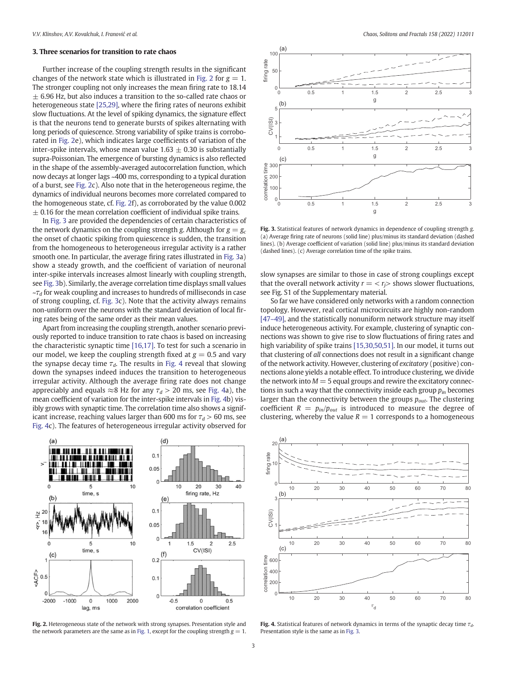### <span id="page-2-0"></span>3. Three scenarios for transition to rate chaos

Further increase of the coupling strength results in the significant changes of the network state which is illustrated in Fig. 2 for  $g = 1$ . The stronger coupling not only increases the mean firing rate to 18.14  $\pm$  6.96 Hz, but also induces a transition to the so-called rate chaos or heterogeneous state [\[25,29\],](#page-5-0) where the firing rates of neurons exhibit slow fluctuations. At the level of spiking dynamics, the signature effect is that the neurons tend to generate bursts of spikes alternating with long periods of quiescence. Strong variability of spike trains is corroborated in Fig. 2e), which indicates large coefficients of variation of the inter-spike intervals, whose mean value  $1.63 \pm 0.30$  is substantially supra-Poissonian. The emergence of bursting dynamics is also reflected in the shape of the assembly-averaged autocorrelation function, which now decays at longer lags ~400 ms, corresponding to a typical duration of a burst, see Fig. 2c). Also note that in the heterogeneous regime, the dynamics of individual neurons becomes more correlated compared to the homogeneous state, cf. Fig. 2f), as corroborated by the value 0.002  $\pm$  0.16 for the mean correlation coefficient of individual spike trains.

In Fig. 3 are provided the dependencies of certain characteristics of the network dynamics on the coupling strength g. Although for  $g = g_c$ the onset of chaotic spiking from quiescence is sudden, the transition from the homogeneous to heterogeneous irregular activity is a rather smooth one. In particular, the average firing rates illustrated in Fig. 3a) show a steady growth, and the coefficient of variation of neuronal inter-spike intervals increases almost linearly with coupling strength, see Fig. 3b). Similarly, the average correlation time displays small values  $-\tau_d$  for weak coupling and increases to hundreds of milliseconds in case of strong coupling, cf. Fig. 3c). Note that the activity always remains non-uniform over the neurons with the standard deviation of local firing rates being of the same order as their mean values.

Apart from increasing the coupling strength, another scenario previously reported to induce transition to rate chaos is based on increasing the characteristic synaptic time [\[16,17\].](#page-5-0) To test for such a scenario in our model, we keep the coupling strength fixed at  $g = 0.5$  and vary the synapse decay time  $\tau_d$ . The results in Fig. 4 reveal that slowing down the synapses indeed induces the transition to heterogeneous irregular activity. Although the average firing rate does not change appreciably and equals  $\approx 8$  Hz for any  $\tau_d > 20$  ms, see Fig. 4a), the mean coefficient of variation for the inter-spike intervals in Fig. 4b) visibly grows with synaptic time. The correlation time also shows a significant increase, reaching values larger than 600 ms for  $\tau_d > 60$  ms, see Fig. 4c). The features of heterogeneous irregular activity observed for



Fig. 3. Statistical features of network dynamics in dependence of coupling strength g. (a) Average firing rate of neurons (solid line) plus/minus its standard deviation (dashed lines). (b) Average coefficient of variation (solid line) plus/minus its standard deviation (dashed lines). (c) Average correlation time of the spike trains.

slow synapses are similar to those in case of strong couplings except that the overall network activity  $r = \langle r_i \rangle$  shows slower fluctuations, see Fig. S1 of the Supplementary material.

So far we have considered only networks with a random connection topology. However, real cortical microcircuits are highly non-random [\[47](#page-5-0)–49], and the statistically nonuniform network structure may itself induce heterogeneous activity. For example, clustering of synaptic connections was shown to give rise to slow fluctuations of firing rates and high variability of spike trains [\[15,30,50,51\]](#page-5-0). In our model, it turns out that clustering of all connections does not result in a significant change of the network activity. However, clustering of excitatory (positive) connections alone yields a notable effect. To introduce clustering, we divide the network into  $M = 5$  equal groups and rewire the excitatory connections in such a way that the connectivity inside each group  $p_{in}$  becomes larger than the connectivity between the groups  $p_{out}$ . The clustering coefficient  $R = p_{in}/p_{out}$  is introduced to measure the degree of clustering, whereby the value  $R = 1$  corresponds to a homogeneous







Fig. 4. Statistical features of network dynamics in terms of the synaptic decay time  $\tau_d$ . Presentation style is the same as in Fig. 3.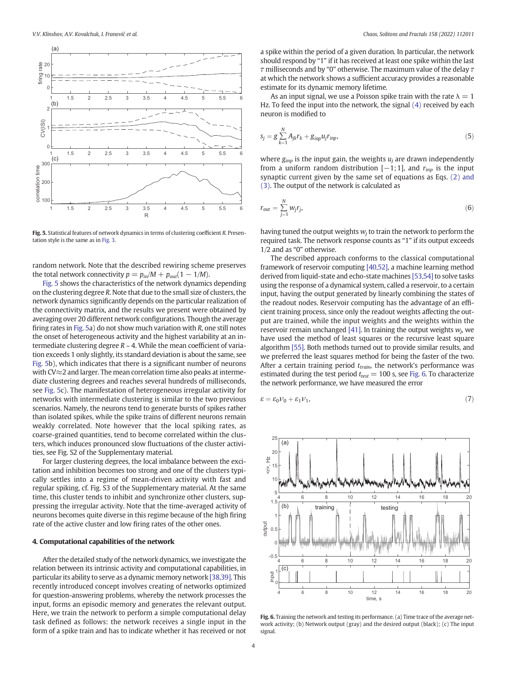<span id="page-3-0"></span>

Fig. 5. Statistical features of network dynamics in terms of clustering coefficient R. Presentation style is the same as in [Fig. 3.](#page-2-0)

random network. Note that the described rewiring scheme preserves the total network connectivity  $p = p_{in}/M + p_{out}(1 - 1/M)$ .

Fig. 5 shows the characteristics of the network dynamics depending on the clustering degree R. Note that due to the small size of clusters, the network dynamics significantly depends on the particular realization of the connectivity matrix, and the results we present were obtained by averaging over 20 different network configurations. Though the average firing rates in Fig. 5a) do not show much variation with R, one still notes the onset of heterogeneous activity and the highest variability at an intermediate clustering degree  $R \sim 4$ . While the mean coefficient of variation exceeds 1 only slightly, its standard deviation is about the same, see Fig. 5b), which indicates that there is a significant number of neurons with CV≈2 and larger. The mean correlation time also peaks at intermediate clustering degrees and reaches several hundreds of milliseconds, see Fig. 5c). The manifestation of heterogeneous irregular activity for networks with intermediate clustering is similar to the two previous scenarios. Namely, the neurons tend to generate bursts of spikes rather than isolated spikes, while the spike trains of different neurons remain weakly correlated. Note however that the local spiking rates, as coarse-grained quantities, tend to become correlated within the clusters, which induces pronounced slow fluctuations of the cluster activities, see Fig. S2 of the Supplementary material.

For larger clustering degrees, the local imbalance between the excitation and inhibition becomes too strong and one of the clusters typically settles into a regime of mean-driven activity with fast and regular spiking, cf. Fig. S3 of the Supplementary material. At the same time, this cluster tends to inhibit and synchronize other clusters, suppressing the irregular activity. Note that the time-averaged activity of neurons becomes quite diverse in this regime because of the high firing rate of the active cluster and low firing rates of the other ones.

#### 4. Computational capabilities of the network

After the detailed study of the network dynamics, we investigate the relation between its intrinsic activity and computational capabilities, in particular its ability to serve as a dynamic memory network [\[38,39\]](#page-5-0). This recently introduced concept involves creating of networks optimized for question-answering problems, whereby the network processes the input, forms an episodic memory and generates the relevant output. Here, we train the network to perform a simple computational delay task defined as follows: the network receives a single input in the form of a spike train and has to indicate whether it has received or not a spike within the period of a given duration. In particular, the network should respond by "1" if it has received at least one spike within the last  $\tau$  milliseconds and by "0" otherwise. The maximum value of the delay  $\tau$ at which the network shows a sufficient accuracy provides a reasonable estimate for its dynamic memory lifetime.

As an input signal, we use a Poisson spike train with the rate  $\lambda = 1$ Hz. To feed the input into the network, the signal [\(4\)](#page-1-0) received by each neuron is modified to

$$
s_j = g \sum_{k=1}^{N} A_{jk} r_k + g_{imp} u_j r_{imp}, \qquad (5)
$$

where  $g_{inp}$  is the input gain, the weights  $u_i$  are drawn independently from a uniform random distribution  $[-1;1]$ , and  $r_{inp}$  is the input synaptic current given by the same set of equations as Eqs. [\(2\) and](#page-1-0) [\(3\)](#page-1-0). The output of the network is calculated as

$$
r_{out} = \sum_{j=1}^{N} w_j r_j,\tag{6}
$$

having tuned the output weights  $w_i$  to train the network to perform the required task. The network response counts as "1" if its output exceeds 1/2 and as "0" otherwise.

The described approach conforms to the classical computational framework of reservoir computing [\[40,52\],](#page-5-0) a machine learning method derived from liquid-state and echo-state machines [\[53,54\]](#page-6-0) to solve tasks using the response of a dynamical system, called a reservoir, to a certain input, having the output generated by linearly combining the states of the readout nodes. Reservoir computing has the advantage of an efficient training process, since only the readout weights affecting the output are trained, while the input weights and the weights within the reservoir remain unchanged [\[41\].](#page-5-0) In training the output weights  $w_i$ , we have used the method of least squares or the recursive least square algorithm [\[55\].](#page-6-0) Both methods turned out to provide similar results, and we preferred the least squares method for being the faster of the two. After a certain training period  $t_{train}$ , the network's performance was estimated during the test period  $t_{test} = 100$  s, see Fig. 6. To characterize the network performance, we have measured the error

$$
\varepsilon = \varepsilon_0 \nu_0 + \varepsilon_1 \nu_1,\tag{7}
$$



Fig. 6. Training the network and testing its performance. (a) Time trace of the average network activity; (b) Network output (gray) and the desired output (black); (c) The input signal.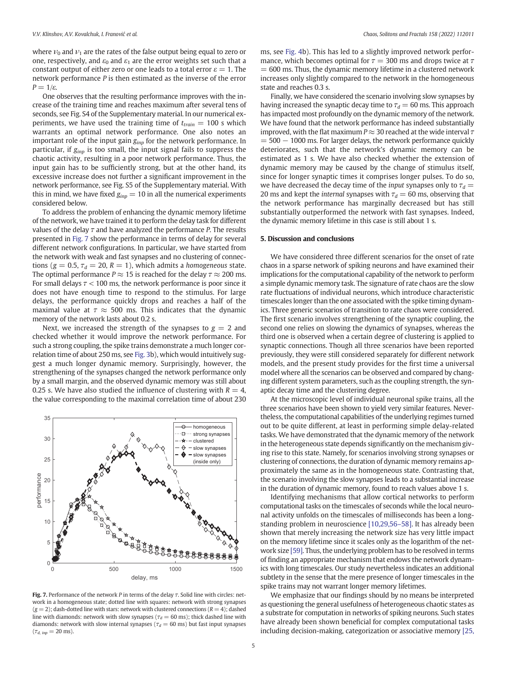where  $v_0$  and  $v_1$  are the rates of the false output being equal to zero or one, respectively, and  $\varepsilon_0$  and  $\varepsilon_1$  are the error weights set such that a constant output of either zero or one leads to a total error  $\varepsilon = 1$ . The network performance P is then estimated as the inverse of the error  $P = 1/\varepsilon$ .

One observes that the resulting performance improves with the increase of the training time and reaches maximum after several tens of seconds, see Fig. S4 of the Supplementary material. In our numerical experiments, we have used the training time of  $t_{train} = 100$  s which warrants an optimal network performance. One also notes an important role of the input gain  $g_{inp}$  for the network performance. In particular, if  $g_{inp}$  is too small, the input signal fails to suppress the chaotic activity, resulting in a poor network performance. Thus, the input gain has to be sufficiently strong, but at the other hand, its excessive increase does not further a significant improvement in the network performance, see Fig. S5 of the Supplementary material. With this in mind, we have fixed  $g_{inp} = 10$  in all the numerical experiments considered below.

To address the problem of enhancing the dynamic memory lifetime of the network, we have trained it to perform the delay task for different values of the delay  $\tau$  and have analyzed the performance P. The results presented in Fig. 7 show the performance in terms of delay for several different network configurations. In particular, we have started from the network with weak and fast synapses and no clustering of connections ( $g = 0.5$ ,  $\tau_d = 20$ ,  $R = 1$ ), which admits a *homogeneous* state. The optimal performance  $P \approx 15$  is reached for the delay  $\tau \approx 200$  ms. For small delays  $\tau$  < 100 ms, the network performance is poor since it does not have enough time to respond to the stimulus. For large delays, the performance quickly drops and reaches a half of the maximal value at  $\tau \approx 500$  ms. This indicates that the dynamic memory of the network lasts about 0.2 s.

Next, we increased the strength of the synapses to  $g = 2$  and checked whether it would improve the network performance. For such a strong coupling, the spike trains demonstrate a much longer correlation time of about 250 ms, see [Fig. 3](#page-2-0)b), which would intuitively suggest a much longer dynamic memory. Surprisingly, however, the strengthening of the synapses changed the network performance only by a small margin, and the observed dynamic memory was still about 0.25 s. We have also studied the influence of clustering with  $R = 4$ , the value corresponding to the maximal correlation time of about 230



Fig. 7. Performance of the network P in terms of the delay  $\tau$ . Solid line with circles: network in a homogeneous state; dotted line with squares: network with strong synapses  $(g = 2)$ ; dash-dotted line with stars: network with clustered connections  $(R = 4)$ ; dashed line with diamonds: network with slow synapses ( $\tau_d = 60$  ms); thick dashed line with diamonds: network with slow internal synapses ( $\tau_d = 60$  ms) but fast input synapses  $(\tau_{d, \; imp} = 20 \; \text{ms}).$ 

ms, see [Fig. 4](#page-2-0)b). This has led to a slightly improved network performance, which becomes optimal for  $\tau = 300$  ms and drops twice at  $\tau$  $= 600$  ms. Thus, the dynamic memory lifetime in a clustered network increases only slightly compared to the network in the homogeneous state and reaches 0.3 s.

Finally, we have considered the scenario involving slow synapses by having increased the synaptic decay time to  $\tau_d = 60$  ms. This approach has impacted most profoundly on the dynamic memory of the network. We have found that the network performance has indeed substantially improved, with the flat maximum  $P \approx 30$  reached at the wide interval  $\tau$  $= 500 - 1000$  ms. For larger delays, the network performance quickly deteriorates, such that the network's dynamic memory can be estimated as 1 s. We have also checked whether the extension of dynamic memory may be caused by the change of stimulus itself, since for longer synaptic times it comprises longer pulses. To do so, we have decreased the decay time of the *input* synapses only to  $\tau_d$  = 20 ms and kept the internal synapses with  $\tau_d = 60$  ms, observing that the network performance has marginally decreased but has still substantially outperformed the network with fast synapses. Indeed, the dynamic memory lifetime in this case is still about 1 s.

#### 5. Discussion and conclusions

We have considered three different scenarios for the onset of rate chaos in a sparse network of spiking neurons and have examined their implications for the computational capability of the network to perform a simple dynamic memory task. The signature of rate chaos are the slow rate fluctuations of individual neurons, which introduce characteristic timescales longer than the one associated with the spike timing dynamics. Three generic scenarios of transition to rate chaos were considered. The first scenario involves strengthening of the synaptic coupling, the second one relies on slowing the dynamics of synapses, whereas the third one is observed when a certain degree of clustering is applied to synaptic connections. Though all three scenarios have been reported previously, they were still considered separately for different network models, and the present study provides for the first time a universal model where all the scenarios can be observed and compared by changing different system parameters, such as the coupling strength, the synaptic decay time and the clustering degree.

At the microscopic level of individual neuronal spike trains, all the three scenarios have been shown to yield very similar features. Nevertheless, the computational capabilities of the underlying regimes turned out to be quite different, at least in performing simple delay-related tasks. We have demonstrated that the dynamic memory of the network in the heterogeneous state depends significantly on the mechanism giving rise to this state. Namely, for scenarios involving strong synapses or clustering of connections, the duration of dynamic memory remains approximately the same as in the homogeneous state. Contrasting that, the scenario involving the slow synapses leads to a substantial increase in the duration of dynamic memory, found to reach values above 1 s.

Identifying mechanisms that allow cortical networks to perform computational tasks on the timescales of seconds while the local neuronal activity unfolds on the timescales of milliseconds has been a longstanding problem in neuroscience [\[10,29,56](#page-5-0)–58]. It has already been shown that merely increasing the network size has very little impact on the memory lifetime since it scales only as the logarithm of the network size [\[59\].](#page-6-0) Thus, the underlying problem has to be resolved in terms of finding an appropriate mechanism that endows the network dynamics with long timescales. Our study nevertheless indicates an additional subtlety in the sense that the mere presence of longer timescales in the spike trains may not warrant longer memory lifetimes.

We emphasize that our findings should by no means be interpreted as questioning the general usefulness of heterogeneous chaotic states as a substrate for computation in networks of spiking neurons. Such states have already been shown beneficial for complex computational tasks including decision-making, categorization or associative memory [\[25,](#page-5-0)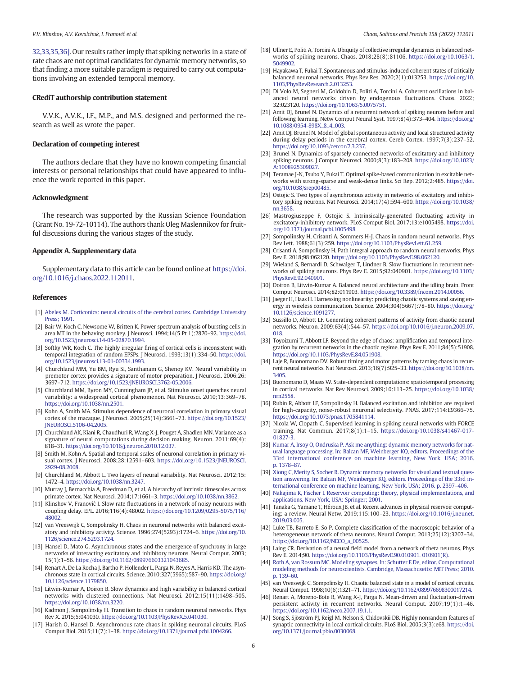<span id="page-5-0"></span>32,33,35,36]. Our results rather imply that spiking networks in a state of rate chaos are not optimal candidates for dynamic memory networks, so that finding a more suitable paradigm is required to carry out computations involving an extended temporal memory.

#### CRediT authorship contribution statement

V.V.K., A.V.K., I.F., M.P., and M.S. designed and performed the research as well as wrote the paper.

#### Declaration of competing interest

The authors declare that they have no known competing financial interests or personal relationships that could have appeared to influence the work reported in this paper.

#### Acknowledgment

The research was supported by the Russian Science Foundation (Grant No. 19-72-10114). The authors thank Oleg Maslennikov for fruitful discussions during the various stages of the study.

#### Appendix A. Supplementary data

Supplementary data to this article can be found online at [https://doi.](https://doi.org/10.1016/j.chaos.2022.112011) [org/10.1016/j.chaos.2022.112011.](https://doi.org/10.1016/j.chaos.2022.112011)

#### **References**

- [1] [Abeles M. Corticonics: neural circuits of the cerebral cortex. Cambridge University](http://refhub.elsevier.com/S0960-0779(22)00221-1/rf202203170935561640) [Press; 1991.](http://refhub.elsevier.com/S0960-0779(22)00221-1/rf202203170935561640)
- [2] Bair W, Koch C, Newsome W, Britten K. Power spectrum analysis of bursting cells in area MT in the behaving monkey. J Neurosci. 1994;14(5 Pt 1):2870–92. [https://doi.](https://doi.org/10.1523/jneurosci.14-05-02870.1994) [org/10.1523/jneurosci.14-05-02870.1994.](https://doi.org/10.1523/jneurosci.14-05-02870.1994)
- [3] Softky WR, Koch C. The highly irregular firing of cortical cells is inconsistent with temporal integration of random EPSPs. J Neurosci. 1993;13(1):334–50. [https://doi.](https://doi.org/10.1523/jneurosci.13-01-00334.1993) [org/10.1523/jneurosci.13-01-00334.1993.](https://doi.org/10.1523/jneurosci.13-01-00334.1993)
- [4] Churchland MM, Yu BM, Ryu SI, Santhanam G, Shenoy KV. Neural variability in premotor cortex provides a signature of motor preparation. J Neurosci. 2006;26: 3697–712. [https://doi.org/10.1523/JNEUROSCI.3762-05.2006.](https://doi.org/10.1523/JNEUROSCI.3762-05.2006)
- [5] Churchland MM, Byron MY, Cunningham JP, et al. Stimulus onset quenches neural variability: a widespread cortical phenomenon. Nat Neurosci. 2010;13:369–78. [https://doi.org/10.1038/nn.2501.](https://doi.org/10.1038/nn.2501)
- [6] Kohn A, Smith MA. Stimulus dependence of neuronal correlation in primary visual cortex of the macaque. J Neurosci. 2005;25(14):3661–73. [https://doi.org/10.1523/](https://doi.org/10.1523/JNEUROSCI.5106-04.2005) [JNEUROSCI.5106-04.2005.](https://doi.org/10.1523/JNEUROSCI.5106-04.2005)
- [7] Churchland AK, Kiani R, Chaudhuri R, Wang X-J, Pouget A, Shadlen MN. Variance as a signature of neural computations during decision making. Neuron. 2011;69(4): 818–31. [https://doi.org/10.1016/j.neuron.2010.12.037.](https://doi.org/10.1016/j.neuron.2010.12.037)
- [8] Smith M, Kohn A. Spatial and temporal scales of neuronal correlation in primary visual cortex. J Neurosci. 2008;28:12591–603. [https://doi.org/10.1523/JNEUROSCI.](https://doi.org/10.1523/JNEUROSCI.2929-08.2008) [2929-08.2008.](https://doi.org/10.1523/JNEUROSCI.2929-08.2008)
- [9] Churchland M, Abbott L. Two layers of neural variability. Nat Neurosci. 2012;15: 1472–4. [https://doi.org/10.1038/nn.3247.](https://doi.org/10.1038/nn.3247)
- [10] Murray J, Bernacchia A, Freedman D, et al. A hierarchy of intrinsic timescales across primate cortex. Nat Neurosci. 2014;17:1661–3. [https://doi.org/10.1038/nn.3862.](https://doi.org/10.1038/nn.3862)
- [11] Klinshov V, Franović I. Slow rate fluctuations in a network of noisy neurons with coupling delay. EPL. 2016;116(4):48002. [https://doi.org/10.1209/0295-5075/116/](https://doi.org/10.1209/0295-5075/116/48002) [48002.](https://doi.org/10.1209/0295-5075/116/48002)
- [12] van Vreeswijk C, Sompolinsky H. Chaos in neuronal networks with balanced excitatory and inhibitory activity. Science. 1996;274(5293):1724–6. [https://doi.org/10.](https://doi.org/10.1126/science.274.5293.1724) [1126/science.274.5293.1724.](https://doi.org/10.1126/science.274.5293.1724)
- [13] Hansel D, Mato G. Asynchronous states and the emergence of synchrony in large networks of interacting excitatory and inhibitory neurons. Neural Comput. 2003; 15(1):1–56. [https://doi.org/10.1162/089976603321043685.](https://doi.org/10.1162/089976603321043685)
- [14] Renart A, De La Rocha J, Bartho P, Hollender L, Parga N, Reyes A, Harris KD. The asynchronous state in cortical circuits. Science. 2010;327(5965):587–90. [https://doi.org/](https://doi.org/10.1126/science.1179850) [10.1126/science.1179850.](https://doi.org/10.1126/science.1179850)
- [15] Litwin-Kumar A, Doiron B. Slow dynamics and high variability in balanced cortical networks with clustered connections. Nat Neurosci. 2012;15(11):1498–505. [https://doi.org/10.1038/nn.3220.](https://doi.org/10.1038/nn.3220)
- [16] Kadmon J, Sompolinsky H. Transition to chaos in random neuronal networks. Phys Rev X. 2015;5:041030. [https://doi.org/10.1103/PhysRevX.5.041030.](https://doi.org/10.1103/PhysRevX.5.041030)
- [17] Harish O, Hansel D. Asynchronous rate chaos in spiking neuronal circuits. PLoS Comput Biol. 2015;11(7):1–38. [https://doi.org/10.1371/journal.pcbi.1004266.](https://doi.org/10.1371/journal.pcbi.1004266)
- [18] Ullner E, Politi A, Torcini A. Ubiquity of collective irregular dynamics in balanced networks of spiking neurons. Chaos. 2018;28(8):81106. [https://doi.org/10.1063/1.](https://doi.org/10.1063/1.5049902) [5049902.](https://doi.org/10.1063/1.5049902)
- [19] Hayakawa T, Fukai T. Spontaneous and stimulus-induced coherent states of critically balanced neuronal networks. Phys Rev Res. 2020;2(1):013253. [https://doi.org/10.](https://doi.org/10.1103/PhysRevResearch.2.013253) [1103/PhysRevResearch.2.013253.](https://doi.org/10.1103/PhysRevResearch.2.013253)
- [20] Di Volo M, Segneri M, Goldobin D, Politi A, Torcini A. Coherent oscillations in balanced neural networks driven by endogenous fluctuations. Chaos. 2022; 32:023120. [https://doi.org/10.1063/5.0075751.](https://doi.org/10.1063/5.0075751)
- [21] Amit DJ, Brunel N. Dynamics of a recurrent network of spiking neurons before and following learning. Netw Comput Neural Syst. 1997;8(4):373–404. [https://doi.org/](https://doi.org/10.1088/0954-898X_8_4_003) [10.1088/0954-898X\\_8\\_4\\_003.](https://doi.org/10.1088/0954-898X_8_4_003)
- [22] Amit DJ, Brunel N. Model of global spontaneous activity and local structured activity during delay periods in the cerebral cortex. Cereb Cortex. 1997;7(3):237–52. [https://doi.org/10.1093/cercor/7.3.237.](https://doi.org/10.1093/cercor/7.3.237)
- [23] Brunel N. Dynamics of sparsely connected networks of excitatory and inhibitory spiking neurons. J Comput Neurosci. 2000;8(3):183–208. [https://doi.org/10.1023/](https://doi.org/10.1023/A:1008925309027) [A:1008925309027.](https://doi.org/10.1023/A:1008925309027)
- [24] Teramae J-N, Tsubo Y, Fukai T. Optimal spike-based communication in excitable networks with strong-sparse and weak-dense links. Sci Rep. 2012;2:485. [https://doi.](https://doi.org/10.1038/srep00485) [org/10.1038/srep00485.](https://doi.org/10.1038/srep00485)
- [25] Ostojic S. Two types of asynchronous activity in networks of excitatory and inhibitory spiking neurons. Nat Neurosci. 2014;17(4):594–600. [https://doi.org/10.1038/](https://doi.org/10.1038/nn.3658) [nn.3658.](https://doi.org/10.1038/nn.3658)
- [26] Mastrogiuseppe F, Ostojic S. Intrinsically-generated fluctuating activity in excitatory-inhibitory network. PLoS Comput Biol. 2017;13:e1005498. [https://doi.](https://doi.org/10.1371/journal.pcbi.1005498) [org/10.1371/journal.pcbi.1005498.](https://doi.org/10.1371/journal.pcbi.1005498)
- [27] Sompolinsky H, Crisanti A, Sommers H-J. Chaos in random neural networks. Phys Rev Lett. 1988;61(3):259. [https://doi.org/10.1103/PhysRevLett.61.259.](https://doi.org/10.1103/PhysRevLett.61.259)
- [28] Crisanti A, Sompolinsky H. Path integral approach to random neural networks. Phys Rev E. 2018;98:062120. [https://doi.org/10.1103/PhysRevE.98.062120.](https://doi.org/10.1103/PhysRevE.98.062120)
- [29] Wieland S, Bernardi D, Schwalger T, Lindner B. Slow fluctuations in recurrent networks of spiking neurons. Phys Rev E. 2015;92:040901. [https://doi.org/10.1103/](https://doi.org/10.1103/PhysRevE.92.040901) [PhysRevE.92.040901.](https://doi.org/10.1103/PhysRevE.92.040901)
- [30] Doiron B, Litwin-Kumar A. Balanced neural architecture and the idling brain. Front Comput Neurosci. 2014;82:011903. [https://doi.org/10.3389/fncom.2014.00056.](https://doi.org/10.3389/fncom.2014.00056)
- [31] Jaeger H, Haas H. Harnessing nonlinearity: predicting chaotic systems and saving energy in wireless communication. Science. 2004;304(5667):78–80. [https://doi.org/](https://doi.org/10.1126/science.1091277) [10.1126/science.1091277.](https://doi.org/10.1126/science.1091277)
- [32] Sussillo D, Abbott LF. Generating coherent patterns of activity from chaotic neural networks. Neuron. 2009;63(4):544–57. [https://doi.org/10.1016/j.neuron.2009.07.](https://doi.org/10.1016/j.neuron.2009.07.018) [018.](https://doi.org/10.1016/j.neuron.2009.07.018)
- [33] Toyoizumi T, Abbott LF. Beyond the edge of chaos: amplification and temporal integration by recurrent networks in the chaotic regime. Phys Rev E. 2011;84(5):51908. [https://doi.org/10.1103/PhysRevE.84.051908.](https://doi.org/10.1103/PhysRevE.84.051908)
- [34] Laje R, Buonomano DV. Robust timing and motor patterns by taming chaos in recurrent neural networks. Nat Neurosci. 2013;16(7):925–33. [https://doi.org/10.1038/nn.](https://doi.org/10.1038/nn.3405) [3405.](https://doi.org/10.1038/nn.3405)
- [35] Buonomano D, Maass W. State-dependent computations: spatiotemporal processing in cortical networks. Nat Rev Neurosci. 2009;10:113–25. [https://doi.org/10.1038/](https://doi.org/10.1038/nrn2558) [nrn2558.](https://doi.org/10.1038/nrn2558)
- [36] Rubin R, Abbott LF, Sompolinsky H. Balanced excitation and inhibition are required for high-capacity, noise-robust neuronal selectivity. PNAS. 2017;114:E9366–75. [https://doi.org/10.1073/pnas.1705841114.](https://doi.org/10.1073/pnas.1705841114)
- [37] Nicola W, Clopath C. Supervised learning in spiking neural networks with FORCE training. Nat Commun. 2017;8(1):1–15. [https://doi.org/10.1038/s41467-017-](https://doi.org/10.1038/s41467-017-01827-3) [01827-3.](https://doi.org/10.1038/s41467-017-01827-3)
- [38] [Kumar A, Irsoy O, Ondruska P. Ask me anything: dynamic memory networks for nat](http://refhub.elsevier.com/S0960-0779(22)00221-1/rf202203170940026903)[ural language processing. In: Balcan MF, Weinberger KQ, editors. Proceedings of the](http://refhub.elsevier.com/S0960-0779(22)00221-1/rf202203170940026903) [33rd international conference on machine learning, New York, USA; 2016.](http://refhub.elsevier.com/S0960-0779(22)00221-1/rf202203170940026903) [p. 1378](http://refhub.elsevier.com/S0960-0779(22)00221-1/rf202203170940026903)–87.
- [39] [Xiong C, Merity S, Socher R. Dynamic memory networks for visual and textual ques](http://refhub.elsevier.com/S0960-0779(22)00221-1/rf202203170940433163)[tion answering. In: Balcan MF, Weinberger KQ, editors. Proceedings of the 33rd in](http://refhub.elsevier.com/S0960-0779(22)00221-1/rf202203170940433163)[ternational conference on machine learning, New York, USA; 2016. p. 2397](http://refhub.elsevier.com/S0960-0779(22)00221-1/rf202203170940433163)–406.
- [40] [Nakajima K, Fischer I. Reservoir computing: theory, physical implementations, and](http://refhub.elsevier.com/S0960-0779(22)00221-1/rf202203170942551700) [applications. New York, USA: Springer; 2001.](http://refhub.elsevier.com/S0960-0779(22)00221-1/rf202203170942551700)
- [41] Tanaka G, Yamane T, Héroux JB, et al. Recent advances in physical reservoir computing: a review. Neural Netw. 2019;115:100–23. [https://doi.org/10.1016/j.neunet.](https://doi.org/10.1016/j.neunet.2019.03.005) [2019.03.005.](https://doi.org/10.1016/j.neunet.2019.03.005)
- [42] Luke TB, Barreto E, So P. Complete classification of the macroscopic behavior of a heterogeneous network of theta neurons. Neural Comput. 2013;25(12):3207–34. [https://doi.org/10.1162/NECO\\_a\\_00525.](https://doi.org/10.1162/NECO_a_00525)
- [43] Laing CR. Derivation of a neural field model from a network of theta neurons. Phys Rev E. 2014;90. [https://doi.org/10.1103/PhysRevE.90.010901. 010901\(R\).](https://doi.org/10.1103/PhysRevE.90.010901)
- [44] [Roth A, van Rossum MC. Modeling synapses. In: Schutter E De, editor. Computational](http://refhub.elsevier.com/S0960-0779(22)00221-1/rf202203170942188319) [modeling methods for neuroscientists. Cambridge, Massachusetts: MIT Press; 2010.](http://refhub.elsevier.com/S0960-0779(22)00221-1/rf202203170942188319) [p. 139](http://refhub.elsevier.com/S0960-0779(22)00221-1/rf202203170942188319)–60.
- [45] van Vreeswijk C, Sompolinsky H. Chaotic balanced state in a model of cortical circuits. Neural Comput. 1998;10(6):1321–71. [https://doi.org/10.1162/089976698300017214.](https://doi.org/10.1162/089976698300017214)
- [46] Renart A, Moreno-Bote R, Wang X-J, Parga N. Mean-driven and fluctuation-driven persistent activity in recurrent networks. Neural Comput. 2007;19(1):1–46. [https://doi.org/10.1162/neco.2007.19.1.1.](https://doi.org/10.1162/neco.2007.19.1.1)
- [47] Song S, Sjöström PJ, Reigl M, Nelson S, Chklovskii DB. Highly nonrandom features of synaptic connectivity in local cortical circuits. PLoS Biol. 2005;3(3):e68. [https://doi.](https://doi.org/10.1371/journal.pbio.0030068) [org/10.1371/journal.pbio.0030068.](https://doi.org/10.1371/journal.pbio.0030068)